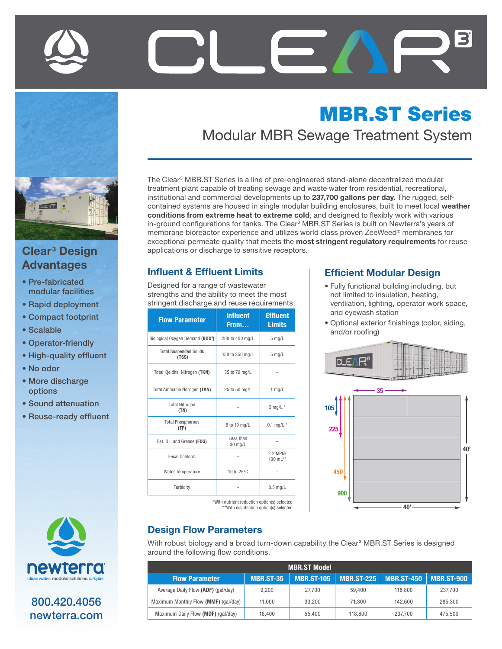



# Advantages

- Pre-fabricated modular facilities
- Rapid deployment
- Compact footprint
- Scalable
- Operator-friendly
- High-quality effluent
- No odor
- More discharge options
- Sound attenuation
- Reuse-ready effluent



800.420.4056 newterra.com

## MBR.ST Series

Modular MBR Sewage Treatment System

The Clear<sup>3</sup> MBR.ST Series is a line of pre-engineered stand-alone decentralized modular treatment plant capable of treating sewage and waste water from residential, recreational, institutional and commercial developments up to 237,700 gallons per day. The rugged, selfcontained systems are housed in single modular building enclosures, built to meet local weather conditions from extreme heat to extreme cold, and designed to flexibly work with various in-ground configurations for tanks. The Clear<sup>3</sup> MBR.ST Series is built on Newterra's years of membrane bioreactor experience and utilizes world class proven ZeeWeed® membranes for exceptional permeate quality that meets the most stringent regulatory requirements for reuse Clear<sup>3</sup> Design **Design Acceptor Acceptors** applications or discharge to sensitive receptors.

#### Influent & Effluent Limits

Designed for a range of wastewater strengths and the ability to meet the most stringent discharge and reuse requirements.

| <b>Flow Parameter</b>                        | <b>Influent</b><br>From | <b>Effluent</b><br><b>Limits</b> |  |
|----------------------------------------------|-------------------------|----------------------------------|--|
| Biological Oxygen Demand (BOD <sup>5</sup> ) | 200 to 400 mg/L         | $5$ mg/L                         |  |
| <b>Total Suspended Solids</b><br>(TSS)       | 150 to 350 mg/L         | $5$ mg/L                         |  |
| <b>Total Kieldhal Nitrogen (TKN)</b>         | 35 to 70 mg/L           |                                  |  |
| <b>Total Ammania Nitrogen (TAN)</b>          | 25 to 50 mg/L           | $1$ mg/L                         |  |
| <b>Total Nitrogen</b><br>(TN)                |                         | $5$ mg/L $*$                     |  |
| <b>Total Phosphorous</b><br>(TP)             | 5 to 10 mg/L            | $0.1$ mg/L $*$                   |  |
| Fat. Oil. and Grease (FOG)                   | Less than<br>30 mg/L    |                                  |  |
| <b>Fecal Coliform</b>                        |                         | $2.2$ MPN/<br>100 $ml**$         |  |
| Water Temperature                            | 10 to 25°C              |                                  |  |
| Turbidity                                    | $0.5$ mg/L              |                                  |  |

#### Efficient Modular Design

- Fully functional building including, but not limited to insulation, heating, ventilation, lighting, operator work space, and eyewash station
- Optional exterior finishings (color, siding, and/or roofing)



#### \*With nutrient reduction option(s) selected \*\*With disinfection option(s) selected

#### Design Flow Parameters

With robust biology and a broad turn-down capability the Clear<sup>3</sup> MBR.ST Series is designed around the following flow conditions.

| <b>MBR.ST Model</b>                  |                  |                   |         |                                      |         |  |  |
|--------------------------------------|------------------|-------------------|---------|--------------------------------------|---------|--|--|
| <b>Flow Parameter</b>                | <b>MBR.ST-35</b> | <b>MBR.ST-105</b> |         | MBR.ST-225   MBR.ST-450   MBR.ST-900 |         |  |  |
| Average Daily Flow (ADF) (gal/day)   | 9.200            | 27.700            | 59.400  | 118,800                              | 237.700 |  |  |
| Maximum Monthly Flow (MMF) (gal/day) | 11.000           | 33.200            | 71.300  | 142.600                              | 285.300 |  |  |
| Maximum Daily Flow (MDF) (gal/day)   | 18.400           | 55.400            | 118,800 | 237.700                              | 475.500 |  |  |